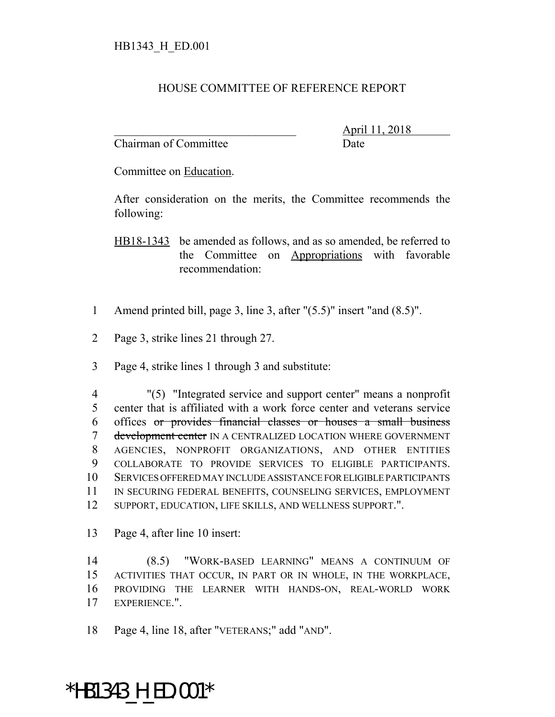## HOUSE COMMITTEE OF REFERENCE REPORT

Chairman of Committee Date

\_\_\_\_\_\_\_\_\_\_\_\_\_\_\_\_\_\_\_\_\_\_\_\_\_\_\_\_\_\_\_ April 11, 2018

Committee on Education.

After consideration on the merits, the Committee recommends the following:

HB18-1343 be amended as follows, and as so amended, be referred to the Committee on Appropriations with favorable recommendation:

- 1 Amend printed bill, page 3, line 3, after "(5.5)" insert "and (8.5)".
- 2 Page 3, strike lines 21 through 27.
- 3 Page 4, strike lines 1 through 3 and substitute:

 "(5) "Integrated service and support center" means a nonprofit center that is affiliated with a work force center and veterans service offices or provides financial classes or houses a small business 7 development center IN A CENTRALIZED LOCATION WHERE GOVERNMENT AGENCIES, NONPROFIT ORGANIZATIONS, AND OTHER ENTITIES COLLABORATE TO PROVIDE SERVICES TO ELIGIBLE PARTICIPANTS. SERVICES OFFERED MAY INCLUDE ASSISTANCE FOR ELIGIBLE PARTICIPANTS IN SECURING FEDERAL BENEFITS, COUNSELING SERVICES, EMPLOYMENT SUPPORT, EDUCATION, LIFE SKILLS, AND WELLNESS SUPPORT.".

13 Page 4, after line 10 insert:

 (8.5) "WORK-BASED LEARNING" MEANS A CONTINUUM OF ACTIVITIES THAT OCCUR, IN PART OR IN WHOLE, IN THE WORKPLACE, PROVIDING THE LEARNER WITH HANDS-ON, REAL-WORLD WORK EXPERIENCE.".

18 Page 4, line 18, after "VETERANS;" add "AND".

\*HB1343\_H\_ED.001\*